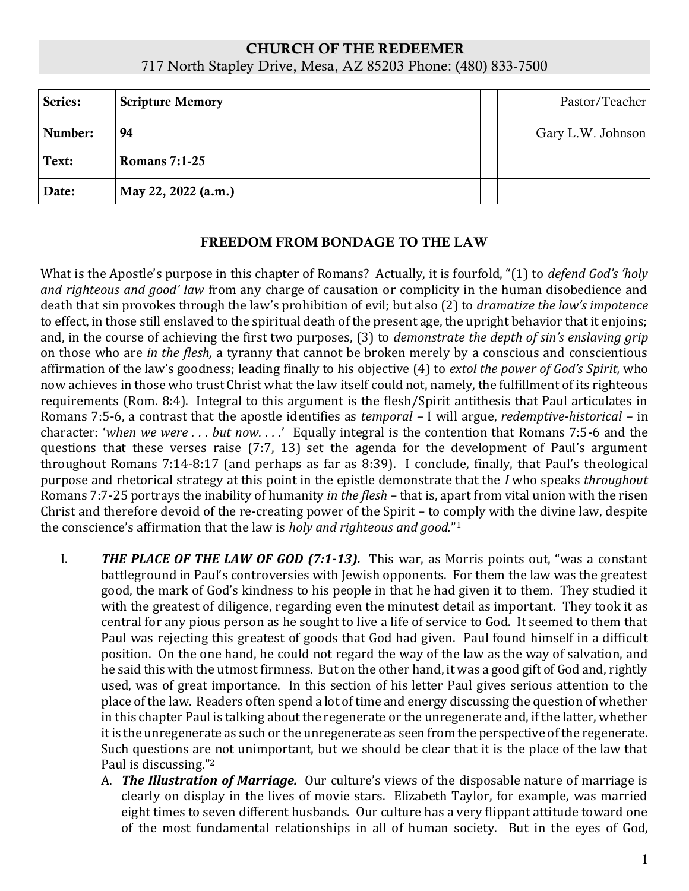## CHURCH OF THE REDEEMER 717 North Stapley Drive, Mesa, AZ 85203 Phone: (480) 833-7500

| Series: | <b>Scripture Memory</b> | Pastor/Teacher    |
|---------|-------------------------|-------------------|
| Number: | 94                      | Gary L.W. Johnson |
| Text:   | <b>Romans 7:1-25</b>    |                   |
| Date:   | May 22, 2022 (a.m.)     |                   |

## FREEDOM FROM BONDAGE TO THE LAW

What is the Apostle's purpose in this chapter of Romans? Actually, it is fourfold, "(1) to *defend God's 'holy and righteous and good' law* from any charge of causation or complicity in the human disobedience and death that sin provokes through the law's prohibition of evil; but also (2) to *dramatize the law's impotence*  to effect, in those still enslaved to the spiritual death of the present age, the upright behavior that it enjoins; and, in the course of achieving the first two purposes, (3) to *demonstrate the depth of sin's enslaving grip*  on those who are *in the flesh,* a tyranny that cannot be broken merely by a conscious and conscientious affirmation of the law's goodness; leading finally to his objective (4) to *extol the power of God's Spirit,* who now achieves in those who trust Christ what the law itself could not, namely, the fulfillment of its righteous requirements (Rom. 8:4). Integral to this argument is the flesh/Spirit antithesis that Paul articulates in Romans 7:5-6, a contrast that the apostle identifies as *temporal –* I will argue, *redemptive-historical –* in character: '*when we were . . . but now. . . .*' Equally integral is the contention that Romans 7:5-6 and the questions that these verses raise (7:7, 13) set the agenda for the development of Paul's argument throughout Romans 7:14-8:17 (and perhaps as far as 8:39). I conclude, finally, that Paul's theological purpose and rhetorical strategy at this point in the epistle demonstrate that the *I* who speaks *throughout*  Romans 7:7-25 portrays the inability of humanity *in the flesh* – that is, apart from vital union with the risen Christ and therefore devoid of the re-creating power of the Spirit – to comply with the divine law, despite the conscience's affirmation that the law is *holy and righteous and good.*" 1

- I. *THE PLACE OF THE LAW OF GOD (7:1-13).* This war, as Morris points out, "was a constant battleground in Paul's controversies with Jewish opponents. For them the law was the greatest good, the mark of God's kindness to his people in that he had given it to them. They studied it with the greatest of diligence, regarding even the minutest detail as important. They took it as central for any pious person as he sought to live a life of service to God. It seemed to them that Paul was rejecting this greatest of goods that God had given. Paul found himself in a difficult position. On the one hand, he could not regard the way of the law as the way of salvation, and he said this with the utmost firmness. But on the other hand, it was a good gift of God and, rightly used, was of great importance. In this section of his letter Paul gives serious attention to the place of the law. Readers often spend a lot of time and energy discussing the question of whether in this chapter Paul is talking about the regenerate or the unregenerate and, if the latter, whether it is the unregenerate as such or the unregenerate as seen from the perspective of the regenerate. Such questions are not unimportant, but we should be clear that it is the place of the law that Paul is discussing."<sup>2</sup>
	- A. *The Illustration of Marriage.* Our culture's views of the disposable nature of marriage is clearly on display in the lives of movie stars. Elizabeth Taylor, for example, was married eight times to seven different husbands. Our culture has a very flippant attitude toward one of the most fundamental relationships in all of human society. But in the eyes of God,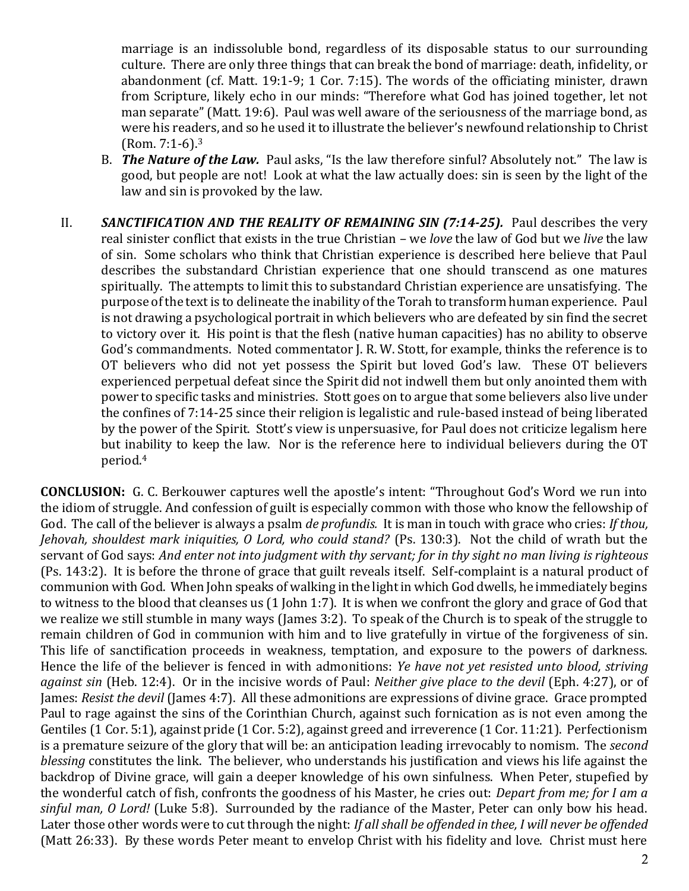marriage is an indissoluble bond, regardless of its disposable status to our surrounding culture. There are only three things that can break the bond of marriage: death, infidelity, or abandonment (cf. Matt. 19:1-9; 1 Cor. 7:15). The words of the officiating minister, drawn from Scripture, likely echo in our minds: "Therefore what God has joined together, let not man separate" (Matt. 19:6). Paul was well aware of the seriousness of the marriage bond, as were his readers, and so he used it to illustrate the believer's newfound relationship to Christ (Rom. 7:1-6).<sup>3</sup>

- B. *The Nature of the Law.* Paul asks, "Is the law therefore sinful? Absolutely not." The law is good, but people are not! Look at what the law actually does: sin is seen by the light of the law and sin is provoked by the law.
- II. **SANCTIFICATION AND THE REALITY OF REMAINING SIN (7:14-25).** Paul describes the very real sinister conflict that exists in the true Christian – we *love* the law of God but we *live* the law of sin. Some scholars who think that Christian experience is described here believe that Paul describes the substandard Christian experience that one should transcend as one matures spiritually. The attempts to limit this to substandard Christian experience are unsatisfying. The purpose of the text is to delineate the inability of the Torah to transform human experience. Paul is not drawing a psychological portrait in which believers who are defeated by sin find the secret to victory over it. His point is that the flesh (native human capacities) has no ability to observe God's commandments. Noted commentator J. R. W. Stott, for example, thinks the reference is to OT believers who did not yet possess the Spirit but loved God's law. These OT believers experienced perpetual defeat since the Spirit did not indwell them but only anointed them with power to specific tasks and ministries. Stott goes on to argue that some believers also live under the confines of 7:14-25 since their religion is legalistic and rule-based instead of being liberated by the power of the Spirit. Stott's view is unpersuasive, for Paul does not criticize legalism here but inability to keep the law. Nor is the reference here to individual believers during the OT period.<sup>4</sup>

**CONCLUSION:** G. C. Berkouwer captures well the apostle's intent: "Throughout God's Word we run into the idiom of struggle. And confession of guilt is especially common with those who know the fellowship of God. The call of the believer is always a psalm *de profundis.* It is man in touch with grace who cries: *If thou, Jehovah, shouldest mark iniquities, O Lord, who could stand?* (Ps. 130:3). Not the child of wrath but the servant of God says: *And enter not into judgment with thy servant; for in thy sight no man living is righteous*  (Ps. 143:2). It is before the throne of grace that guilt reveals itself. Self-complaint is a natural product of communion with God. When John speaks of walking in the light in which God dwells, he immediately begins to witness to the blood that cleanses us (1 John 1:7). It is when we confront the glory and grace of God that we realize we still stumble in many ways (James 3:2). To speak of the Church is to speak of the struggle to remain children of God in communion with him and to live gratefully in virtue of the forgiveness of sin. This life of sanctification proceeds in weakness, temptation, and exposure to the powers of darkness. Hence the life of the believer is fenced in with admonitions: *Ye have not yet resisted unto blood, striving against sin* (Heb. 12:4). Or in the incisive words of Paul: *Neither give place to the devil* (Eph. 4:27), or of James: *Resist the devil* (James 4:7). All these admonitions are expressions of divine grace. Grace prompted Paul to rage against the sins of the Corinthian Church, against such fornication as is not even among the Gentiles (1 Cor. 5:1), against pride (1 Cor. 5:2), against greed and irreverence (1 Cor. 11:21). Perfectionism is a premature seizure of the glory that will be: an anticipation leading irrevocably to nomism. The *second blessing* constitutes the link. The believer, who understands his justification and views his life against the backdrop of Divine grace, will gain a deeper knowledge of his own sinfulness. When Peter, stupefied by the wonderful catch of fish, confronts the goodness of his Master, he cries out: *Depart from me; for I am a sinful man, O Lord!* (Luke 5:8). Surrounded by the radiance of the Master, Peter can only bow his head. Later those other words were to cut through the night: *If all shall be offended in thee, I will never be offended*  (Matt 26:33). By these words Peter meant to envelop Christ with his fidelity and love. Christ must here